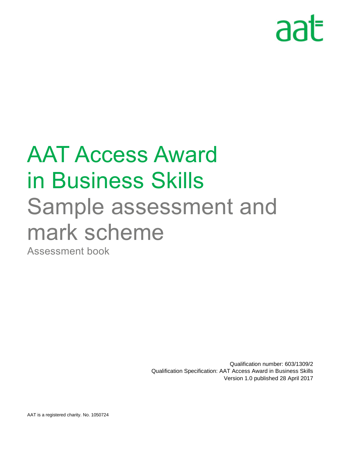# aat

## AAT Access Award in Business Skills Sample assessment and mark scheme Assessment book

Qualification number: 603/1309/2 Qualification Specification: AAT Access Award in Business Skills Version 1.0 published 28 April 2017

AAT is a registered charity. No. 1050724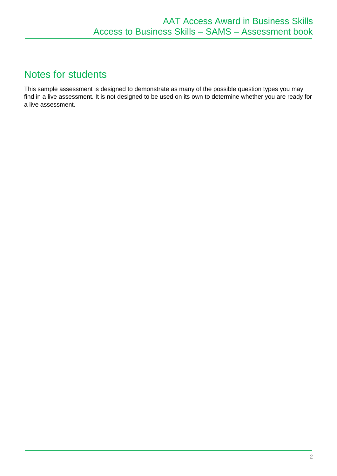## Notes for students

This sample assessment is designed to demonstrate as many of the possible question types you may find in a live assessment. It is not designed to be used on its own to determine whether you are ready for a live assessment.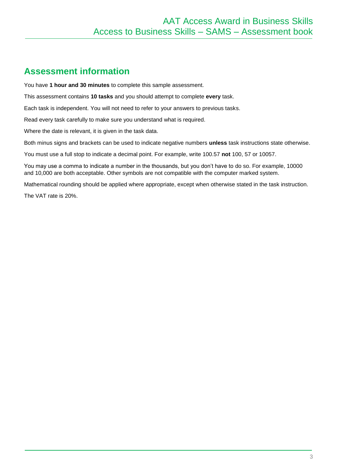### **Assessment information**

You have **1 hour and 30 minutes** to complete this sample assessment.

This assessment contains **10 tasks** and you should attempt to complete **every** task.

Each task is independent. You will not need to refer to your answers to previous tasks.

Read every task carefully to make sure you understand what is required.

Where the date is relevant, it is given in the task data.

Both minus signs and brackets can be used to indicate negative numbers **unless** task instructions state otherwise.

You must use a full stop to indicate a decimal point. For example, write 100.57 **not** 100, 57 or 10057.

You may use a comma to indicate a number in the thousands, but you don't have to do so. For example, 10000 and 10,000 are both acceptable. Other symbols are not compatible with the computer marked system.

Mathematical rounding should be applied where appropriate, except when otherwise stated in the task instruction.

The VAT rate is 20%.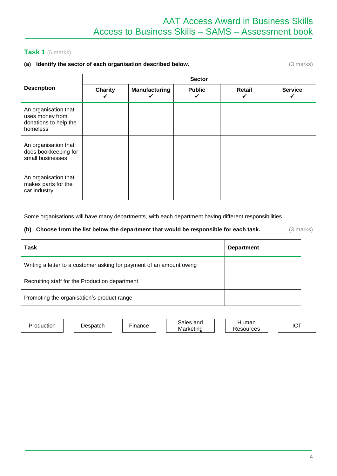#### **Task 1** (6 marks)

#### **(a) Identify the sector of each organisation described below.** (3 marks)

|                                                                              | <b>Sector</b>  |                      |               |        |                |  |  |
|------------------------------------------------------------------------------|----------------|----------------------|---------------|--------|----------------|--|--|
| <b>Description</b>                                                           | <b>Charity</b> | <b>Manufacturing</b> | <b>Public</b> | Retail | <b>Service</b> |  |  |
| An organisation that<br>uses money from<br>donations to help the<br>homeless |                |                      |               |        |                |  |  |
| An organisation that<br>does bookkeeping for<br>small businesses             |                |                      |               |        |                |  |  |
| An organisation that<br>makes parts for the<br>car industry                  |                |                      |               |        |                |  |  |

Some organisations will have many departments, with each department having different responsibilities.

#### **(b) Choose from the list below the department that would be responsible for each task.** (3 marks)

| Task                                                                 | <b>Department</b> |
|----------------------------------------------------------------------|-------------------|
| Writing a letter to a customer asking for payment of an amount owing |                   |
| Recruiting staff for the Production department                       |                   |
| Promoting the organisation's product range                           |                   |

Production Despatch Finance Sales and Marketing

**Human** Resources | ICT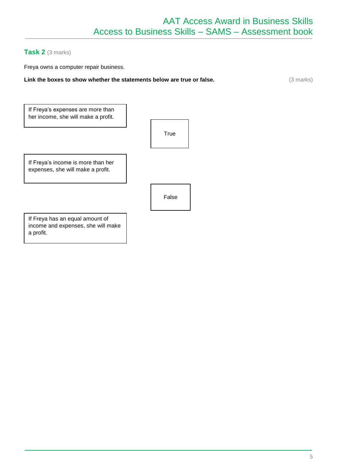#### **Task 2** (3 marks)

Freya owns a computer repair business.

**Link the boxes to show whether the statements below are true or false.** (3 marks) (3 marks)

| If Freya's expenses are more than<br>her income, she will make a profit.           |       |  |
|------------------------------------------------------------------------------------|-------|--|
|                                                                                    | True  |  |
| If Freya's income is more than her<br>expenses, she will make a profit.            |       |  |
|                                                                                    | False |  |
| If Freya has an equal amount of<br>income and expenses, she will make<br>a profit. |       |  |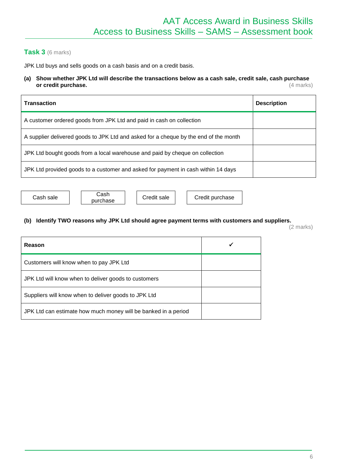#### **Task 3** (6 marks)

JPK Ltd buys and sells goods on a cash basis and on a credit basis.

#### **(a) Show whether JPK Ltd will describe the transactions below as a cash sale, credit sale, cash purchase or credit purchase.** (4 marks)

| <b>Transaction</b>                                                                   | <b>Description</b> |
|--------------------------------------------------------------------------------------|--------------------|
| A customer ordered goods from JPK Ltd and paid in cash on collection                 |                    |
| A supplier delivered goods to JPK Ltd and asked for a cheque by the end of the month |                    |
| JPK Ltd bought goods from a local warehouse and paid by cheque on collection         |                    |
| JPK Ltd provided goods to a customer and asked for payment in cash within 14 days    |                    |

Cash sale Cash<br>purchase

Credit sale | | Credit purchase

#### **(b) Identify TWO reasons why JPK Ltd should agree payment terms with customers and suppliers.**

(2 marks)

| Reason                                                         |  |
|----------------------------------------------------------------|--|
| Customers will know when to pay JPK Ltd                        |  |
| JPK Ltd will know when to deliver goods to customers           |  |
| Suppliers will know when to deliver goods to JPK Ltd           |  |
| JPK Ltd can estimate how much money will be banked in a period |  |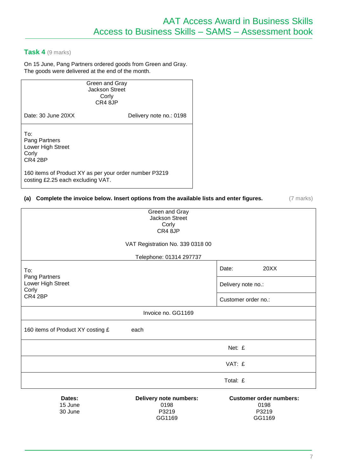#### **Task 4** (9 marks)

On 15 June, Pang Partners ordered goods from Green and Gray. The goods were delivered at the end of the month.

> Green and Gray Jackson Street Corly CR4 8JP

Date: 30 June 20XX Delivery note no.: 0198

To: Pang Partners Lower High Street Corly CR4 2BP

160 items of Product XY as per your order number P3219 costing £2.25 each excluding VAT.

30 June

#### **(a) Complete the invoice below. Insert options from the available lists and enter figures.** (7 marks)

| Green and Gray<br><b>Jackson Street</b><br>Corly<br>CR4 8JP |                                        |
|-------------------------------------------------------------|----------------------------------------|
| VAT Registration No. 339 0318 00                            |                                        |
| Telephone: 01314 297737                                     |                                        |
| To:<br>Pang Partners                                        | 20XX<br>Date:                          |
| Lower High Street<br>Corly                                  | Delivery note no.:                     |
| CR4 2BP                                                     | Customer order no.:                    |
| Invoice no. GG1169                                          |                                        |
| 160 items of Product XY costing £<br>each                   |                                        |
|                                                             | Net: £                                 |
|                                                             | VAT: £                                 |
|                                                             | Total: £                               |
| Dates:<br>Delivery note numbers:<br>15 June<br>0198         | <b>Customer order numbers:</b><br>0198 |

P3219 GG1169

P3219 GG1169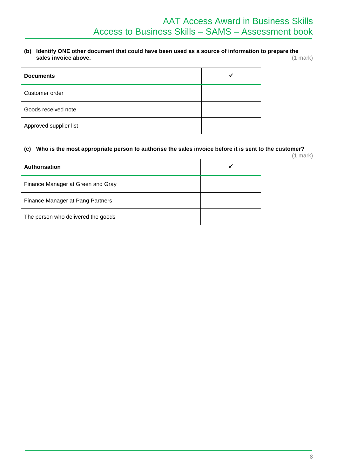#### **(b) Identify ONE other document that could have been used as a source of information to prepare the**  sales invoice above.

| <b>Documents</b>       |  |
|------------------------|--|
| Customer order         |  |
| Goods received note    |  |
| Approved supplier list |  |

#### **(c) Who is the most appropriate person to authorise the sales invoice before it is sent to the customer?**

(1 mark)

| <b>Authorisation</b>               |  |
|------------------------------------|--|
| Finance Manager at Green and Gray  |  |
| Finance Manager at Pang Partners   |  |
| The person who delivered the goods |  |
|                                    |  |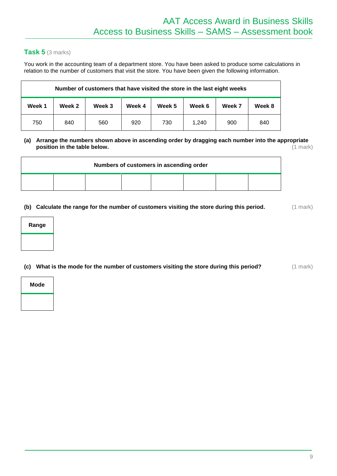#### **Task 5** (3 marks)

You work in the accounting team of a department store. You have been asked to produce some calculations in relation to the number of customers that visit the store. You have been given the following information.

| Number of customers that have visited the store in the last eight weeks |        |        |        |        |        |        |        |
|-------------------------------------------------------------------------|--------|--------|--------|--------|--------|--------|--------|
| Week 1                                                                  | Week 2 | Week 3 | Week 4 | Week 5 | Week 6 | Week 7 | Week 8 |
| 750                                                                     | 840    | 560    | 920    | 730    | 1.240  | 900    | 840    |

#### **(a) Arrange the numbers shown above in ascending order by dragging each number into the appropriate position in the table below.** (1 mark) (1 mark)

|  |  | Numbers of customers in ascending order |  |  |
|--|--|-----------------------------------------|--|--|
|  |  |                                         |  |  |

#### **(b)** Calculate the range for the number of customers visiting the store during this period. (1 mark)

| Range |
|-------|
|       |

**(c)** What is the mode for the number of customers visiting the store during this period? (1 mark)

| <b>Mode</b> |  |
|-------------|--|
|             |  |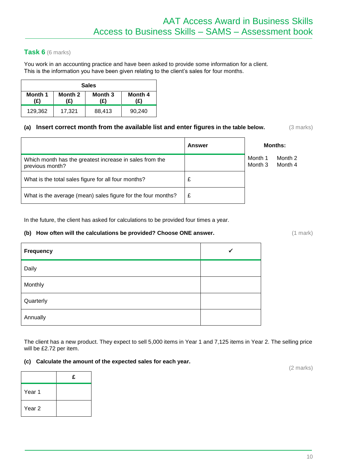#### **Task 6** (6 marks)

You work in an accounting practice and have been asked to provide some information for a client. This is the information you have been given relating to the client's sales for four months.

| <b>Sales</b>   |                |                |                |
|----------------|----------------|----------------|----------------|
| Month 1<br>(£) | Month 2<br>(£) | Month 3<br>(£) | Month 4<br>(£) |
| 129,362        | 17.321         | 88,413         | 90,240         |

#### **(a) Insert correct month from the available list and enter figures in the table below.** (3 marks)

|                                                                            | Answer |                    | <b>Months:</b>     |
|----------------------------------------------------------------------------|--------|--------------------|--------------------|
| Which month has the greatest increase in sales from the<br>previous month? |        | Month 1<br>Month 3 | Month 2<br>Month 4 |
| What is the total sales figure for all four months?                        |        |                    |                    |
| What is the average (mean) sales figure for the four months?               |        |                    |                    |

In the future, the client has asked for calculations to be provided four times a year.

#### **(b)** How often will the calculations be provided? Choose ONE answer.  $(1 \text{ mark})$

| Frequency | $\checkmark$ |
|-----------|--------------|
| Daily     |              |
| Monthly   |              |
| Quarterly |              |
| Annually  |              |

The client has a new product. They expect to sell 5,000 items in Year 1 and 7,125 items in Year 2. The selling price will be £2.72 per item.

#### **(c) Calculate the amount of the expected sales for each year.**

**£** Year 1 Year 2

(2 marks)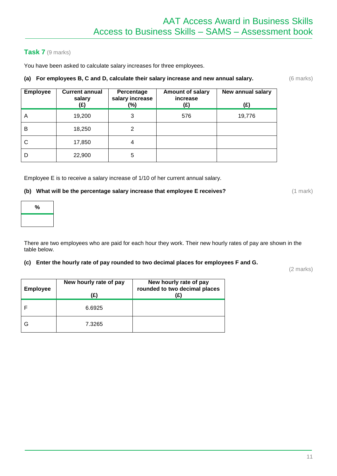#### **Task 7** (9 marks)

You have been asked to calculate salary increases for three employees.

#### **(a) For employees B, C and D, calculate their salary increase and new annual salary.** (6 marks)

| <b>Employee</b> | <b>Current annual</b><br>salary<br>(£) | Percentage<br>salary increase<br>$(\%)$ | <b>Amount of salary</b><br>increase<br>(£) | New annual salary<br>(£) |
|-----------------|----------------------------------------|-----------------------------------------|--------------------------------------------|--------------------------|
| A               | 19,200                                 | 3                                       | 576                                        | 19,776                   |
| B               | 18,250                                 | 2                                       |                                            |                          |
| C               | 17,850                                 | 4                                       |                                            |                          |
| D               | 22,900                                 | 5                                       |                                            |                          |

Employee E is to receive a salary increase of 1/10 of her current annual salary.

#### **(b)** What will be the percentage salary increase that employee E receives? (1 mark)

| $\%$ |
|------|
|      |

There are two employees who are paid for each hour they work. Their new hourly rates of pay are shown in the table below.

#### **(c) Enter the hourly rate of pay rounded to two decimal places for employees F and G.**

(2 marks)

| <b>Employee</b> | New hourly rate of pay<br>(£) | New hourly rate of pay<br>rounded to two decimal places<br>(£) |
|-----------------|-------------------------------|----------------------------------------------------------------|
|                 | 6.6925                        |                                                                |
|                 | 7.3265                        |                                                                |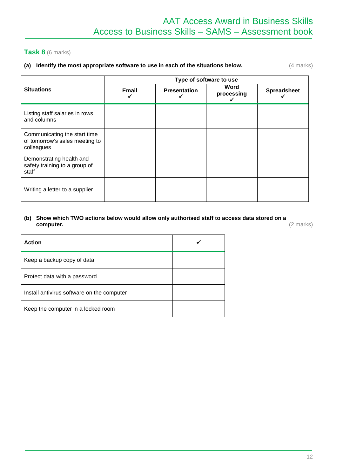#### **Task 8** (6 marks)

#### **(a)** Identify the most appropriate software to use in each of the situations below.  $(4 \text{ marks})$

|                                                                              | Type of software to use |                     |                         |                    |
|------------------------------------------------------------------------------|-------------------------|---------------------|-------------------------|--------------------|
| <b>Situations</b>                                                            | Email<br>✓              | <b>Presentation</b> | Word<br>processing<br>✓ | <b>Spreadsheet</b> |
| Listing staff salaries in rows<br>and columns                                |                         |                     |                         |                    |
| Communicating the start time<br>of tomorrow's sales meeting to<br>colleagues |                         |                     |                         |                    |
| Demonstrating health and<br>safety training to a group of<br>staff           |                         |                     |                         |                    |
| Writing a letter to a supplier                                               |                         |                     |                         |                    |

#### **(b) Show which TWO actions below would allow only authorised staff to access data stored on a computer.** (2 marks)

| <b>Action</b>                              |  |
|--------------------------------------------|--|
| Keep a backup copy of data                 |  |
| Protect data with a password               |  |
| Install antivirus software on the computer |  |
| Keep the computer in a locked room         |  |
|                                            |  |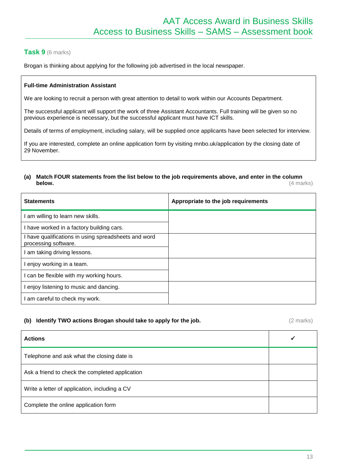#### **Task 9** (6 marks)

Brogan is thinking about applying for the following job advertised in the local newspaper.

#### **Full-time Administration Assistant**

We are looking to recruit a person with great attention to detail to work within our Accounts Department.

The successful applicant will support the work of three Assistant Accountants. Full training will be given so no previous experience is necessary, but the successful applicant must have ICT skills.

Details of terms of employment, including salary, will be supplied once applicants have been selected for interview.

If you are interested, complete an online application form by visiting mnbo.uk/application by the closing date of 29 November.

#### **(a) Match FOUR statements from the list below to the job requirements above, and enter in the column below.** (4 marks)

| <b>Statements</b>                                                            | Appropriate to the job requirements |
|------------------------------------------------------------------------------|-------------------------------------|
| am willing to learn new skills.                                              |                                     |
| I have worked in a factory building cars.                                    |                                     |
| I have qualifications in using spreadsheets and word<br>processing software. |                                     |
| am taking driving lessons.                                                   |                                     |
| enjoy working in a team.                                                     |                                     |
| I can be flexible with my working hours.                                     |                                     |
| I enjoy listening to music and dancing.                                      |                                     |
| am careful to check my work.                                                 |                                     |

#### **(b) Identify TWO actions Brogan should take to apply for the job.** (2 marks)

| <b>Actions</b>                                  | ✔ |
|-------------------------------------------------|---|
| Telephone and ask what the closing date is      |   |
| Ask a friend to check the completed application |   |
| Write a letter of application, including a CV   |   |
| Complete the online application form            |   |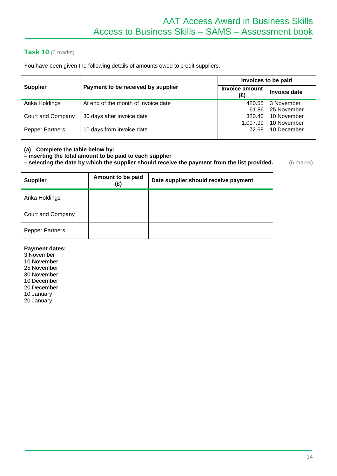#### **Task 10** (6 marks)

You have been given the following details of amounts owed to credit suppliers.

|                   |                                     | Invoices to be paid   |                           |
|-------------------|-------------------------------------|-----------------------|---------------------------|
| <b>Supplier</b>   | Payment to be received by supplier  | Invoice amount<br>(£) | Invoice date              |
| Anka Holdings     | At end of the month of invoice date | 420.55<br>61.86       | 3 November<br>25 November |
| Court and Company | 30 days after invoice date          | 320.40                | 10 November               |
|                   |                                     | 1,007.99              | 10 November               |
| Pepper Partners   | 10 days from invoice date           | 72.68                 | 10 December               |

#### **(a) Complete the table below by:**

**– inserting the total amount to be paid to each supplier** 

**– selecting the date by which the supplier should receive the payment from the list provided.** (6 marks)

| <b>Supplier</b>        | Amount to be paid<br>(£) | Date supplier should receive payment |
|------------------------|--------------------------|--------------------------------------|
| Anka Holdings          |                          |                                      |
| Court and Company      |                          |                                      |
| <b>Pepper Partners</b> |                          |                                      |

#### **Payment dates:**

3 November

10 November

25 November

30 November 10 December

20 December

10 January

20 January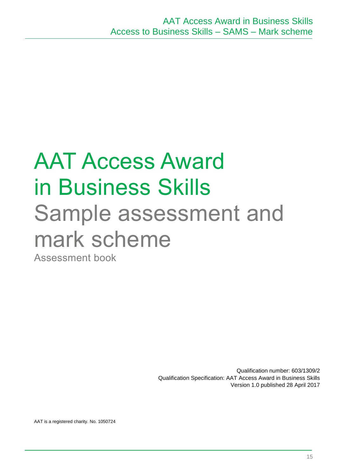## AAT Access Award in Business Skills Sample assessment and mark scheme

Assessment book

Qualification number: 603/1309/2 Qualification Specification: AAT Access Award in Business Skills Version 1.0 published 28 April 2017

AAT is a registered charity. No. 1050724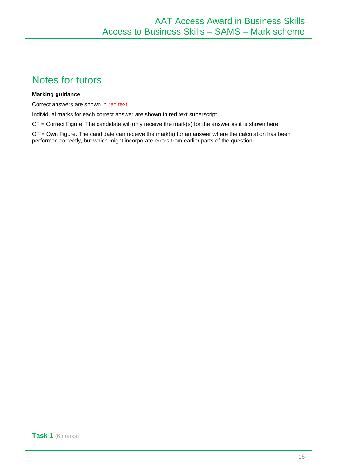### Notes for tutors

#### **Marking guidance**

Correct answers are shown in red text.

Individual marks for each correct answer are shown in red text superscript.

 $CF = Correct Figure. The candidate will only receive the mark(s) for the answer as it is shown here.$ 

 $OF = Own$  Figure. The candidate can receive the mark(s) for an answer where the calculation has been performed correctly, but which might incorporate errors from earlier parts of the question.

**Task 1** (6 marks)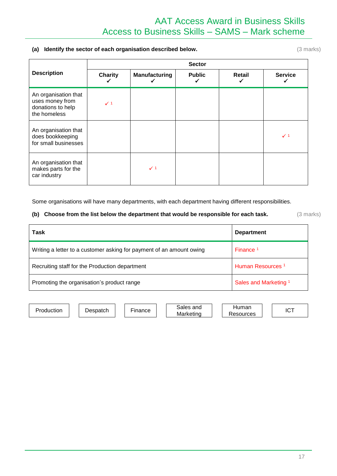#### **(a) Identify the sector of each organisation described below.** (3 marks)

|                                                                              | <b>Sector</b>  |                      |               |        |                |  |  |
|------------------------------------------------------------------------------|----------------|----------------------|---------------|--------|----------------|--|--|
| <b>Description</b>                                                           | <b>Charity</b> | <b>Manufacturing</b> | <b>Public</b> | Retail | <b>Service</b> |  |  |
| An organisation that<br>uses money from<br>donations to help<br>the homeless | $\checkmark$ 1 |                      |               |        |                |  |  |
| An organisation that<br>does bookkeeping<br>for small businesses             |                |                      |               |        | $\checkmark$ 1 |  |  |
| An organisation that<br>makes parts for the<br>car industry                  |                | $\checkmark$ 1       |               |        |                |  |  |

Some organisations will have many departments, with each department having different responsibilities.

#### **(b) Choose from the list below the department that would be responsible for each task.** (3 marks)

| Task                                                                 | <b>Department</b>                |
|----------------------------------------------------------------------|----------------------------------|
| Writing a letter to a customer asking for payment of an amount owing | Finance <sup>1</sup>             |
| Recruiting staff for the Production department                       | Human Resources <sup>1</sup>     |
| Promoting the organisation's product range                           | Sales and Marketing <sup>1</sup> |

Production Despatch Finance Sales and Marketing

Human Resources | | ICT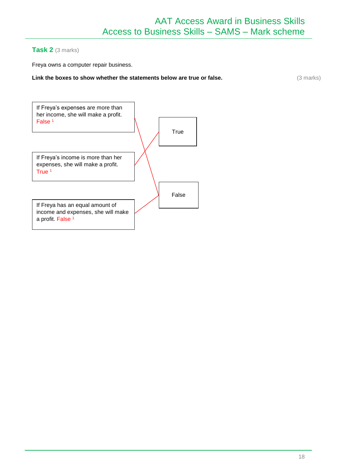#### **Task 2** (3 marks)

Freya owns a computer repair business.

#### **Link the boxes to show whether the statements below are true or false.** (3 marks)

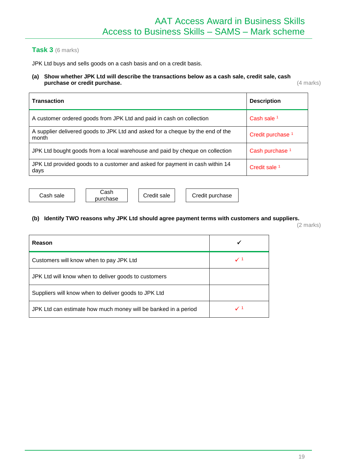#### **Task 3** (6 marks)

JPK Ltd buys and sells goods on a cash basis and on a credit basis.

#### **(a) Show whether JPK Ltd will describe the transactions below as a cash sale, credit sale, cash purchase or credit purchase.** (4 marks)

| <b>Transaction</b>                                                                      | <b>Description</b>           |
|-----------------------------------------------------------------------------------------|------------------------------|
| A customer ordered goods from JPK Ltd and paid in cash on collection                    | Cash sale 1                  |
| A supplier delivered goods to JPK Ltd and asked for a cheque by the end of the<br>month | Credit purchase <sup>1</sup> |
| JPK Ltd bought goods from a local warehouse and paid by cheque on collection            | Cash purchase <sup>1</sup>   |
| JPK Ltd provided goods to a customer and asked for payment in cash within 14<br>days    | Credit sale 1                |

Cash sale | Cash<br>purchase

Credit sale | | Credit purchase

#### **(b) Identify TWO reasons why JPK Ltd should agree payment terms with customers and suppliers.**

(2 marks)

| Reason                                                         |                |
|----------------------------------------------------------------|----------------|
| Customers will know when to pay JPK Ltd                        | $\checkmark$ 1 |
| JPK Ltd will know when to deliver goods to customers           |                |
| Suppliers will know when to deliver goods to JPK Ltd           |                |
| JPK Ltd can estimate how much money will be banked in a period | $\checkmark$ 1 |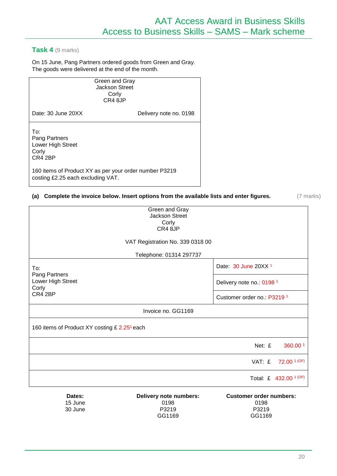#### **Task 4** (9 marks)

30 June

On 15 June, Pang Partners ordered goods from Green and Gray. The goods were delivered at the end of the month.

| Green and Gray<br><b>Jackson Street</b><br>Corly<br>CR4 8JP                                 |                        |
|---------------------------------------------------------------------------------------------|------------------------|
| Date: 30 June 20XX                                                                          | Delivery note no. 0198 |
| To∶<br>Pang Partners<br>Lower High Street<br>Corly<br>CR4 2BP                               |                        |
| 160 items of Product XY as per your order number P3219<br>costing £2.25 each excluding VAT. |                        |

#### **(a) Complete the invoice below. Insert options from the available lists and enter figures.** (7 marks)

| Dates:<br>15 June                                        | Delivery note numbers:<br>0198                   | <b>Customer order numbers:</b><br>0198 |                                   |  |
|----------------------------------------------------------|--------------------------------------------------|----------------------------------------|-----------------------------------|--|
|                                                          |                                                  |                                        | Total: £ 432.00 <sup>1 (OF)</sup> |  |
|                                                          |                                                  | VAT: £                                 | $72.00$ <sup>1 (OF)</sup>         |  |
|                                                          |                                                  | Net: £                                 | 360.00 <sup>1</sup>               |  |
| 160 items of Product XY costing £ 2.25 <sup>1</sup> each |                                                  |                                        |                                   |  |
|                                                          | Invoice no. GG1169                               |                                        |                                   |  |
| CR4 2BP                                                  |                                                  | Customer order no: P3219 <sup>1</sup>  |                                   |  |
| Pang Partners<br>Lower High Street<br>Corly              |                                                  | Delivery note no.: 0198 <sup>1</sup>   |                                   |  |
| To:                                                      |                                                  | Date: 30 June 20XX <sup>1</sup>        |                                   |  |
|                                                          | Telephone: 01314 297737                          |                                        |                                   |  |
|                                                          | VAT Registration No. 339 0318 00                 |                                        |                                   |  |
|                                                          | CR4 8JP                                          |                                        |                                   |  |
|                                                          | Green and Gray<br><b>Jackson Street</b><br>Corly |                                        |                                   |  |

P3219 GG1169

P3219 GG1169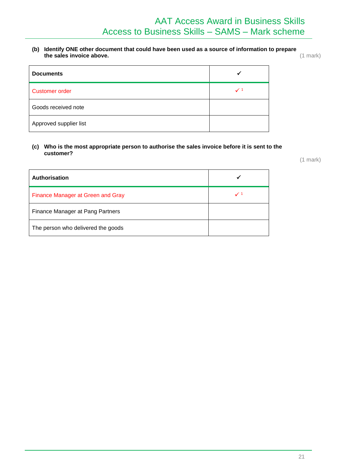**(b) Identify ONE other document that could have been used as a source of information to prepare the sales invoice above.** (1 mark)

| <b>Documents</b>       |                |
|------------------------|----------------|
| Customer order         | $\checkmark$ 1 |
| Goods received note    |                |
| Approved supplier list |                |

#### **(c) Who is the most appropriate person to authorise the sales invoice before it is sent to the customer?**

(1 mark)

| <b>Authorisation</b>                     |                |
|------------------------------------------|----------------|
| <b>Finance Manager at Green and Gray</b> | $\checkmark$ 1 |
| Finance Manager at Pang Partners         |                |
| The person who delivered the goods       |                |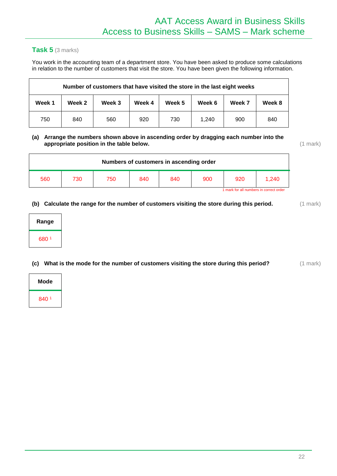#### **Task 5** (3 marks)

You work in the accounting team of a department store. You have been asked to produce some calculations in relation to the number of customers that visit the store. You have been given the following information.

| Number of customers that have visited the store in the last eight weeks |        |        |        |        |        |        |        |
|-------------------------------------------------------------------------|--------|--------|--------|--------|--------|--------|--------|
| Week 1                                                                  | Week 2 | Week 3 | Week 4 | Week 5 | Week 6 | Week 7 | Week 8 |
| 750                                                                     | 840    | 560    | 920    | 730    | 1.240  | 900    | 840    |

#### **(a) Arrange the numbers shown above in ascending order by dragging each number into the appropriate position in the table below.** (1 mark)

| Numbers of customers in ascending order |     |     |     |     |     |     |       |
|-----------------------------------------|-----|-----|-----|-----|-----|-----|-------|
| 560                                     | 730 | 750 | 840 | 840 | 900 | 920 | 1.240 |
| 1 mark for all numbers in correct order |     |     |     |     |     |     |       |

#### **(b) Calculate the range for the number of customers visiting the store during this period.** (1 mark)

| Range               |  |
|---------------------|--|
| 680<br>$\mathbf{1}$ |  |

**(c) What is the mode for the number of customers visiting the store during this period?** (1 mark)

| Mode  |  |
|-------|--|
| 840 1 |  |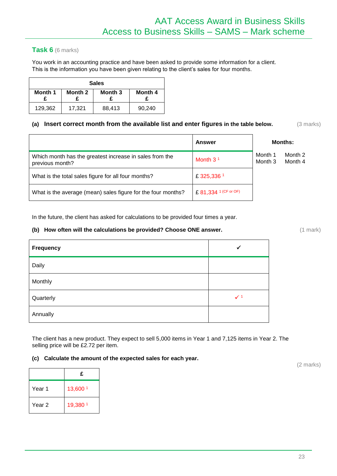#### **Task 6** (6 marks)

You work in an accounting practice and have been asked to provide some information for a client. This is the information you have been given relating to the client's sales for four months.

| <b>Sales</b> |         |         |         |
|--------------|---------|---------|---------|
| Month 1      | Month 2 | Month 3 | Month 4 |
| 129,362      | 17,321  | 88,413  | 90.240  |

#### **(a) Insert correct month from the available list and enter figures in the table below.** (3 marks)

|                                                                            | Answer                |                    | <b>Months:</b>     |
|----------------------------------------------------------------------------|-----------------------|--------------------|--------------------|
| Which month has the greatest increase in sales from the<br>previous month? | Month $31$            | Month 1<br>Month 3 | Month 2<br>Month 4 |
| What is the total sales figure for all four months?                        | £325,336 <sup>1</sup> |                    |                    |
| What is the average (mean) sales figure for the four months?               | £ 81,334 1 (CF or OF) |                    |                    |

In the future, the client has asked for calculations to be provided four times a year.

#### **(b)** How often will the calculations be provided? Choose ONE answer. (1 mark) (1 mark)

| <b>Frequency</b> | ✔              |
|------------------|----------------|
| Daily            |                |
| Monthly          |                |
| Quarterly        | $\checkmark$ 1 |
| Annually         |                |

The client has a new product. They expect to sell 5,000 items in Year 1 and 7,125 items in Year 2. The selling price will be £2.72 per item.

#### **(c) Calculate the amount of the expected sales for each year.**

|        | £        |
|--------|----------|
| Year 1 | 13,600 1 |
| Year 2 | 19,380 1 |

(2 marks)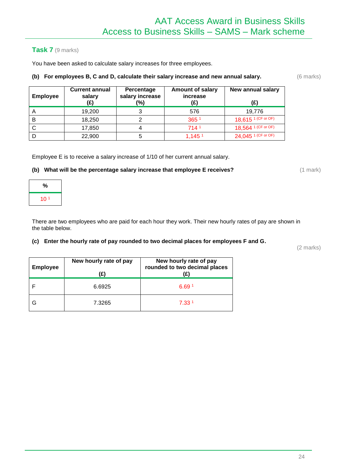**Amount of salary increase**

#### **Task 7** (9 marks)

You have been asked to calculate salary increases for three employees.

**Current annual salary (£)**

#### **(b) For employees B, C and D, calculate their salary increase and new annual salary.** (6 marks)

**Percentage salary increase**

|   | (£)    | (%) | (£)                | (£)                              |
|---|--------|-----|--------------------|----------------------------------|
|   | 19,200 |     | 576                | 19,776                           |
| В | 18,250 |     | 365 1              | 18,615 1 (CF or OF)              |
|   | 17,850 |     | 714 <sup>1</sup>   | 18,564 1 (CF or OF)              |
|   | 22,900 |     | 1,145 <sup>1</sup> | $24,045$ <sup>1 (CF or OF)</sup> |

Employee E is to receive a salary increase of 1/10 of her current annual salary.

#### **(b)** What will be the percentage salary increase that employee E receives? (1 mark)

| %               |  |
|-----------------|--|
| 10 <sup>1</sup> |  |

**Employee**

There are two employees who are paid for each hour they work. Their new hourly rates of pay are shown in the table below.

#### **(c) Enter the hourly rate of pay rounded to two decimal places for employees F and G.**

(2 marks)

| <b>Employee</b> | New hourly rate of pay<br>(£) | New hourly rate of pay<br>rounded to two decimal places |
|-----------------|-------------------------------|---------------------------------------------------------|
|                 | 6.6925                        | 6.69 <sup>1</sup>                                       |
|                 | 7.3265                        | 7.33 <sup>1</sup>                                       |

**New annual salary**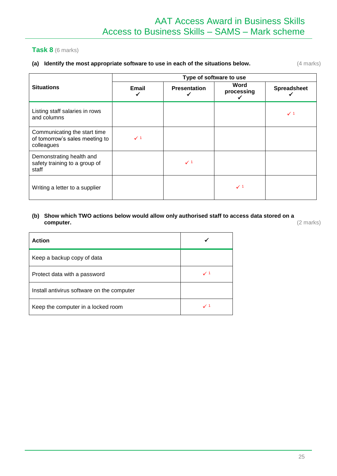#### **Task 8** (6 marks)

#### **(a)** Identify the most appropriate software to use in each of the situations below.  $(4 \text{ marks})$

|                                                                              | Type of software to use |                     |                         |                    |
|------------------------------------------------------------------------------|-------------------------|---------------------|-------------------------|--------------------|
| <b>Situations</b>                                                            | Email                   | <b>Presentation</b> | Word<br>processing<br>✔ | <b>Spreadsheet</b> |
| Listing staff salaries in rows<br>and columns                                |                         |                     |                         | $\checkmark$ 1     |
| Communicating the start time<br>of tomorrow's sales meeting to<br>colleagues | $\checkmark$ 1          |                     |                         |                    |
| Demonstrating health and<br>safety training to a group of<br>staff           |                         | $\checkmark$ 1      |                         |                    |
| Writing a letter to a supplier                                               |                         |                     | $\checkmark$ 1          |                    |

#### **(b) Show which TWO actions below would allow only authorised staff to access data stored on a computer.** (2 marks)

| <b>Action</b>                              |                |
|--------------------------------------------|----------------|
| Keep a backup copy of data                 |                |
| Protect data with a password               | $\checkmark$ 1 |
| Install antivirus software on the computer |                |
| Keep the computer in a locked room         | $\checkmark$ 1 |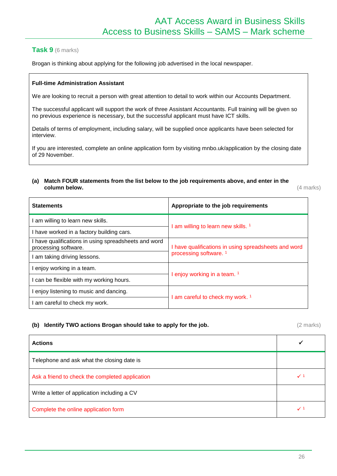#### **Task 9** (6 marks)

Brogan is thinking about applying for the following job advertised in the local newspaper.

#### **Full-time Administration Assistant**

We are looking to recruit a person with great attention to detail to work within our Accounts Department.

The successful applicant will support the work of three Assistant Accountants. Full training will be given so no previous experience is necessary, but the successful applicant must have ICT skills.

Details of terms of employment, including salary, will be supplied once applicants have been selected for interview.

If you are interested, complete an online application form by visiting mnbo.uk/application by the closing date of 29 November.

#### **(a) Match FOUR statements from the list below to the job requirements above, and enter in the column below.** (4 marks)

| <b>Statements</b>                                                          | Appropriate to the job requirements                  |  |
|----------------------------------------------------------------------------|------------------------------------------------------|--|
| am willing to learn new skills.                                            |                                                      |  |
| have worked in a factory building cars.                                    | am willing to learn new skills. <sup>1</sup>         |  |
| have qualifications in using spreadsheets and word<br>processing software. | I have qualifications in using spreadsheets and word |  |
| am taking driving lessons.                                                 | processing software. <sup>1</sup>                    |  |
| enjoy working in a team.                                                   |                                                      |  |
| can be flexible with my working hours.                                     | l enjoy working in a team. <sup>1</sup>              |  |
| enjoy listening to music and dancing.                                      | I am careful to check my work. <sup>1</sup>          |  |
| am careful to check my work.                                               |                                                      |  |

#### **(b) Identify TWO actions Brogan should take to apply for the job.** (2 marks)

| <b>Actions</b>                                  |                |
|-------------------------------------------------|----------------|
| Telephone and ask what the closing date is      |                |
| Ask a friend to check the completed application | $\checkmark$ 1 |
| Write a letter of application including a CV    |                |
| Complete the online application form            | $\checkmark$ 1 |